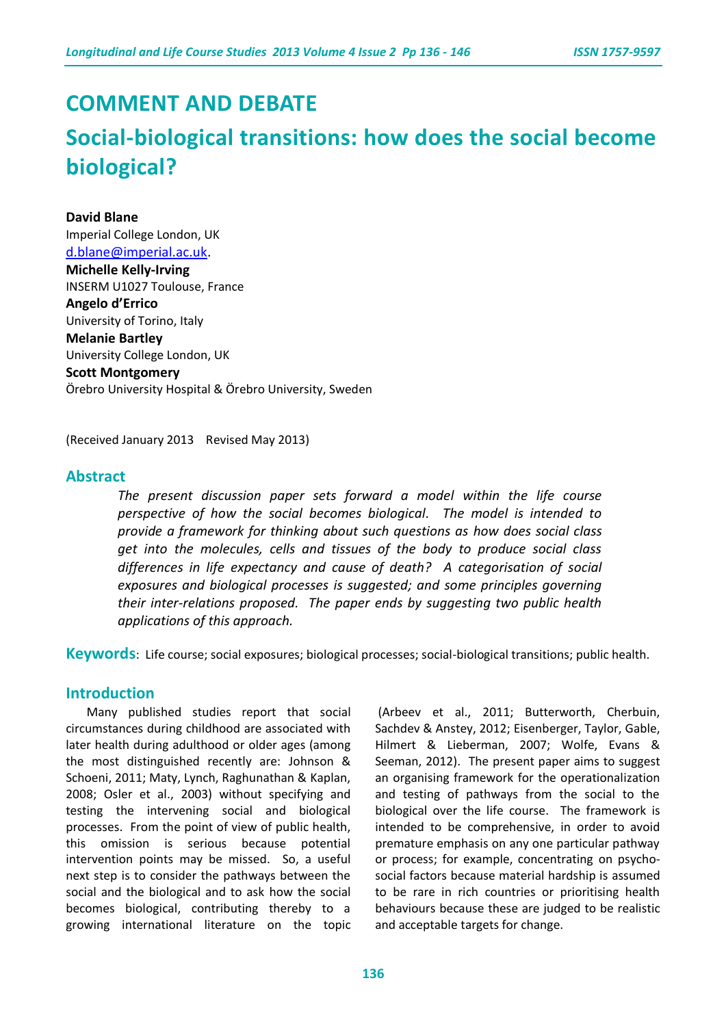# **COMMENT AND DEBATE**

# **Social-biological transitions: how does the social become biological?**

#### **David Blane**

Imperial College London, UK [d.blane@imperial.ac.uk.](mailto:d.blane@imperial.ac.uk) **Michelle Kelly-Irving** INSERM U1027 Toulouse, France **Angelo d'Errico** University of Torino, Italy **Melanie Bartley** University College London, UK **Scott Montgomery** Örebro University Hospital & Örebro University, Sweden

(Received January 2013 Revised May 2013)

#### **Abstract**

*The present discussion paper sets forward a model within the life course perspective of how the social becomes biological. The model is intended to provide a framework for thinking about such questions as how does social class get into the molecules, cells and tissues of the body to produce social class differences in life expectancy and cause of death? A categorisation of social exposures and biological processes is suggested; and some principles governing their inter-relations proposed. The paper ends by suggesting two public health applications of this approach.*

**Keywords**: Life course; social exposures; biological processes; social-biological transitions; public health.

#### **Introduction**

Many published studies report that social circumstances during childhood are associated with later health during adulthood or older ages (among the most distinguished recently are: Johnson & Schoeni, 2011; Maty, Lynch, Raghunathan & Kaplan, 2008; Osler et al., 2003) without specifying and testing the intervening social and biological processes. From the point of view of public health, this omission is serious because potential intervention points may be missed. So, a useful next step is to consider the pathways between the social and the biological and to ask how the social becomes biological, contributing thereby to a growing international literature on the topic

(Arbeev et al., 2011; Butterworth, Cherbuin, Sachdev & Anstey, 2012; Eisenberger, Taylor, Gable, Hilmert & Lieberman, 2007; Wolfe, Evans & Seeman, 2012). The present paper aims to suggest an organising framework for the operationalization and testing of pathways from the social to the biological over the life course. The framework is intended to be comprehensive, in order to avoid premature emphasis on any one particular pathway or process; for example, concentrating on psychosocial factors because material hardship is assumed to be rare in rich countries or prioritising health behaviours because these are judged to be realistic and acceptable targets for change.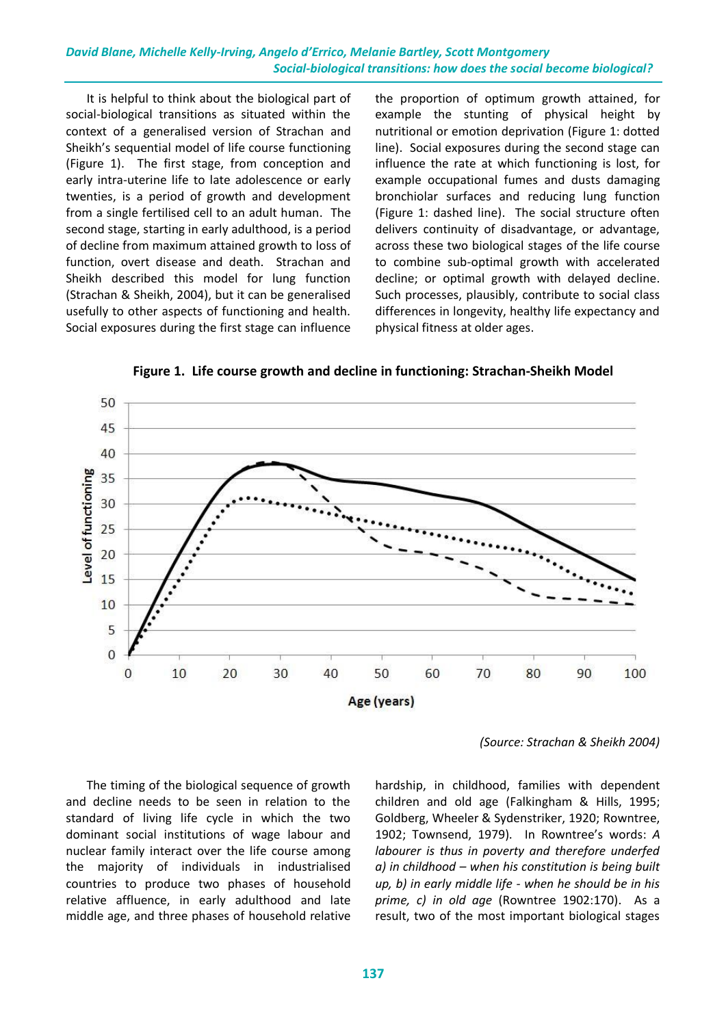It is helpful to think about the biological part of social-biological transitions as situated within the context of a generalised version of Strachan and Sheikh's sequential model of life course functioning (Figure 1). The first stage, from conception and early intra-uterine life to late adolescence or early twenties, is a period of growth and development from a single fertilised cell to an adult human. The second stage, starting in early adulthood, is a period of decline from maximum attained growth to loss of function, overt disease and death. Strachan and Sheikh described this model for lung function (Strachan & Sheikh, 2004), but it can be generalised usefully to other aspects of functioning and health. Social exposures during the first stage can influence

the proportion of optimum growth attained, for example the stunting of physical height by nutritional or emotion deprivation (Figure 1: dotted line). Social exposures during the second stage can influence the rate at which functioning is lost, for example occupational fumes and dusts damaging bronchiolar surfaces and reducing lung function (Figure 1: dashed line). The social structure often delivers continuity of disadvantage, or advantage, across these two biological stages of the life course to combine sub-optimal growth with accelerated decline; or optimal growth with delayed decline. Such processes, plausibly, contribute to social class differences in longevity, healthy life expectancy and physical fitness at older ages.



**Figure 1. Life course growth and decline in functioning: Strachan-Sheikh Model**

*(Source: Strachan & Sheikh 2004)*

The timing of the biological sequence of growth and decline needs to be seen in relation to the standard of living life cycle in which the two dominant social institutions of wage labour and nuclear family interact over the life course among the majority of individuals in industrialised countries to produce two phases of household relative affluence, in early adulthood and late middle age, and three phases of household relative

hardship, in childhood, families with dependent children and old age (Falkingham & Hills, 1995; Goldberg, Wheeler & Sydenstriker, 1920; Rowntree, 1902; Townsend, 1979). In Rowntree's words: *A labourer is thus in poverty and therefore underfed a) in childhood – when his constitution is being built up, b) in early middle life - when he should be in his prime, c) in old age* (Rowntree 1902:170). As a result, two of the most important biological stages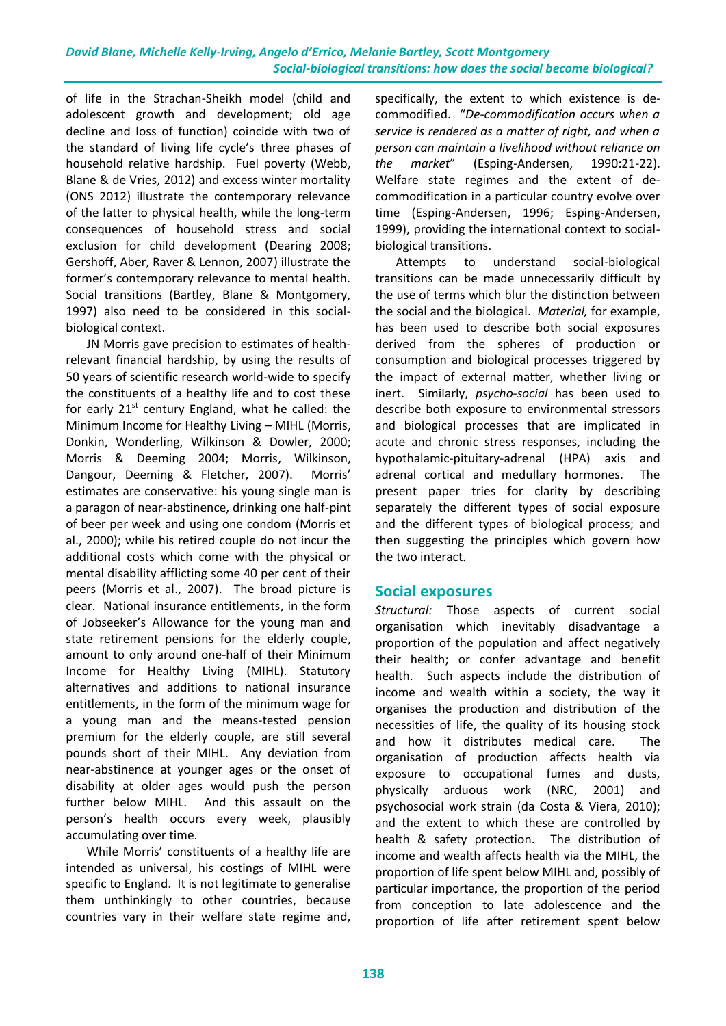of life in the Strachan-Sheikh model (child and adolescent growth and development; old age decline and loss of function) coincide with two of the standard of living life cycle's three phases of household relative hardship. Fuel poverty (Webb, Blane & de Vries, 2012) and excess winter mortality (ONS 2012) illustrate the contemporary relevance of the latter to physical health, while the long-term consequences of household stress and social exclusion for child development (Dearing 2008; Gershoff, Aber, Raver & Lennon, 2007) illustrate the former's contemporary relevance to mental health. Social transitions (Bartley, Blane & Montgomery, 1997) also need to be considered in this socialbiological context.

JN Morris gave precision to estimates of healthrelevant financial hardship, by using the results of 50 years of scientific research world-wide to specify the constituents of a healthy life and to cost these for early  $21^{st}$  century England, what he called: the Minimum Income for Healthy Living – MIHL (Morris, Donkin, Wonderling, Wilkinson & Dowler, 2000; Morris & Deeming 2004; Morris, Wilkinson, Dangour, Deeming & Fletcher, 2007). Morris' estimates are conservative: his young single man is a paragon of near-abstinence, drinking one half-pint of beer per week and using one condom (Morris et al., 2000); while his retired couple do not incur the additional costs which come with the physical or mental disability afflicting some 40 per cent of their peers (Morris et al., 2007). The broad picture is clear. National insurance entitlements, in the form of Jobseeker's Allowance for the young man and state retirement pensions for the elderly couple, amount to only around one-half of their Minimum Income for Healthy Living (MIHL). Statutory alternatives and additions to national insurance entitlements, in the form of the minimum wage for a young man and the means-tested pension premium for the elderly couple, are still several pounds short of their MIHL. Any deviation from near-abstinence at younger ages or the onset of disability at older ages would push the person further below MIHL. And this assault on the person's health occurs every week, plausibly accumulating over time.

While Morris' constituents of a healthy life are intended as universal, his costings of MIHL were specific to England. It is not legitimate to generalise them unthinkingly to other countries, because countries vary in their welfare state regime and, specifically, the extent to which existence is decommodified. "*De-commodification occurs when a service is rendered as a matter of right, and when a person can maintain a livelihood without reliance on the market*" (Esping-Andersen, 1990:21-22). Welfare state regimes and the extent of decommodification in a particular country evolve over time (Esping-Andersen, 1996; Esping-Andersen, 1999), providing the international context to socialbiological transitions.

Attempts to understand social-biological transitions can be made unnecessarily difficult by the use of terms which blur the distinction between the social and the biological. *Material,* for example, has been used to describe both social exposures derived from the spheres of production or consumption and biological processes triggered by the impact of external matter, whether living or inert. Similarly, *psycho-social* has been used to describe both exposure to environmental stressors and biological processes that are implicated in acute and chronic stress responses, including the hypothalamic-pituitary-adrenal (HPA) axis and adrenal cortical and medullary hormones. The present paper tries for clarity by describing separately the different types of social exposure and the different types of biological process; and then suggesting the principles which govern how the two interact.

#### **Social exposures**

*Structural:* Those aspects of current social organisation which inevitably disadvantage a proportion of the population and affect negatively their health; or confer advantage and benefit health. Such aspects include the distribution of income and wealth within a society, the way it organises the production and distribution of the necessities of life, the quality of its housing stock and how it distributes medical care. The organisation of production affects health via exposure to occupational fumes and dusts, physically arduous work (NRC, 2001) and psychosocial work strain (da Costa & Viera, 2010); and the extent to which these are controlled by health & safety protection. The distribution of income and wealth affects health via the MIHL, the proportion of life spent below MIHL and, possibly of particular importance, the proportion of the period from conception to late adolescence and the proportion of life after retirement spent below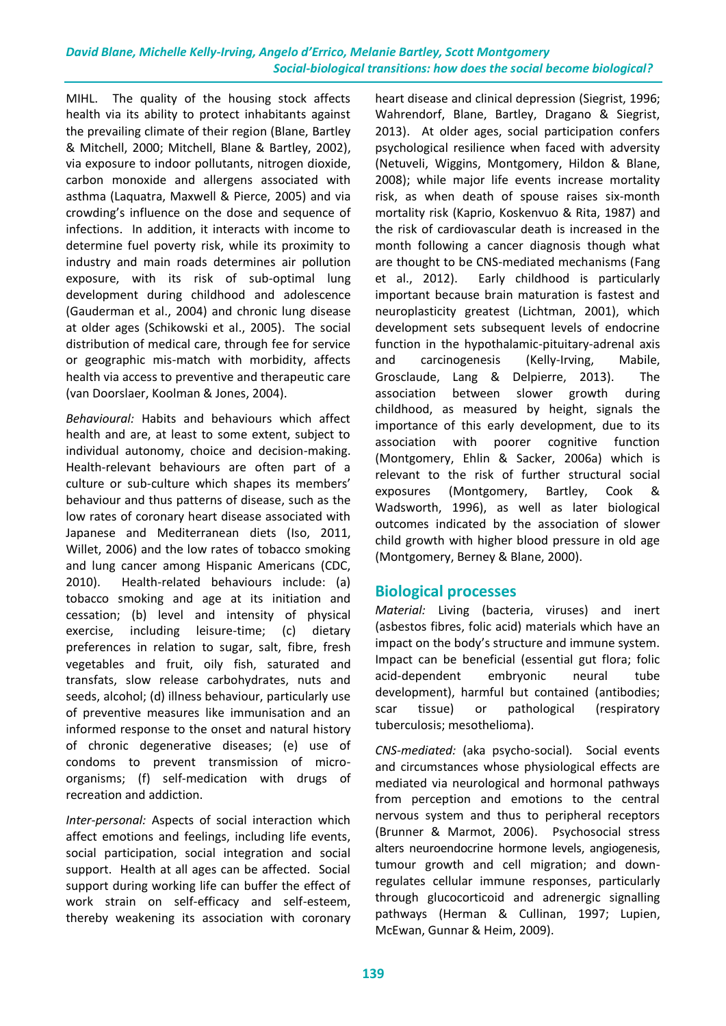MIHL. The quality of the housing stock affects health via its ability to protect inhabitants against the prevailing climate of their region (Blane, Bartley & Mitchell, 2000; Mitchell, Blane & Bartley, 2002), via exposure to indoor pollutants, nitrogen dioxide, carbon monoxide and allergens associated with asthma (Laquatra, Maxwell & Pierce, 2005) and via crowding's influence on the dose and sequence of infections. In addition, it interacts with income to determine fuel poverty risk, while its proximity to industry and main roads determines air pollution exposure, with its risk of sub-optimal lung development during childhood and adolescence (Gauderman et al., 2004) and chronic lung disease at older ages (Schikowski et al., 2005). The social distribution of medical care, through fee for service or geographic mis-match with morbidity, affects health via access to preventive and therapeutic care (van Doorslaer, Koolman & Jones, 2004).

*Behavioural:* Habits and behaviours which affect health and are, at least to some extent, subject to individual autonomy, choice and decision-making. Health-relevant behaviours are often part of a culture or sub-culture which shapes its members' behaviour and thus patterns of disease, such as the low rates of coronary heart disease associated with Japanese and Mediterranean diets (Iso, 2011, Willet, 2006) and the low rates of tobacco smoking and lung cancer among Hispanic Americans (CDC, 2010). Health-related behaviours include: (a) tobacco smoking and age at its initiation and cessation; (b) level and intensity of physical exercise, including leisure-time; (c) dietary preferences in relation to sugar, salt, fibre, fresh vegetables and fruit, oily fish, saturated and transfats, slow release carbohydrates, nuts and seeds, alcohol; (d) illness behaviour, particularly use of preventive measures like immunisation and an informed response to the onset and natural history of chronic degenerative diseases; (e) use of condoms to prevent transmission of microorganisms; (f) self-medication with drugs of recreation and addiction.

*Inter-personal:* Aspects of social interaction which affect emotions and feelings, including life events, social participation, social integration and social support. Health at all ages can be affected. Social support during working life can buffer the effect of work strain on self-efficacy and self-esteem, thereby weakening its association with coronary heart disease and clinical depression (Siegrist, 1996; Wahrendorf, Blane, Bartley, Dragano & Siegrist, 2013). At older ages, social participation confers psychological resilience when faced with adversity (Netuveli, Wiggins, Montgomery, Hildon & Blane, 2008); while major life events increase mortality risk, as when death of spouse raises six-month mortality risk (Kaprio, Koskenvuo & Rita, 1987) and the risk of cardiovascular death is increased in the month following a cancer diagnosis though what are thought to be CNS-mediated mechanisms (Fang et al., 2012). Early childhood is particularly important because brain maturation is fastest and neuroplasticity greatest (Lichtman, 2001), which development sets subsequent levels of endocrine function in the hypothalamic-pituitary-adrenal axis and carcinogenesis (Kelly-Irving, Mabile, Grosclaude, Lang & Delpierre, 2013). The association between slower growth during childhood, as measured by height, signals the importance of this early development, due to its association with poorer cognitive function (Montgomery, Ehlin & Sacker, 2006a) which is relevant to the risk of further structural social exposures (Montgomery, Bartley, Cook Wadsworth, 1996), as well as later biological outcomes indicated by the association of slower child growth with higher blood pressure in old age (Montgomery, Berney & Blane, 2000).

# **Biological processes**

*Material:* Living (bacteria, viruses) and inert (asbestos fibres, folic acid) materials which have an impact on the body's structure and immune system. Impact can be beneficial (essential gut flora; folic acid-dependent embryonic neural tube development), harmful but contained (antibodies; scar tissue) or pathological (respiratory tuberculosis; mesothelioma).

*CNS-mediated:* (aka psycho-social)*.* Social events and circumstances whose physiological effects are mediated via neurological and hormonal pathways from perception and emotions to the central nervous system and thus to peripheral receptors (Brunner & Marmot, 2006). Psychosocial stress alters neuroendocrine hormone levels, angiogenesis, tumour growth and cell migration; and downregulates cellular immune responses, particularly through glucocorticoid and adrenergic signalling pathways (Herman & Cullinan, 1997; Lupien, McEwan, Gunnar & Heim, 2009).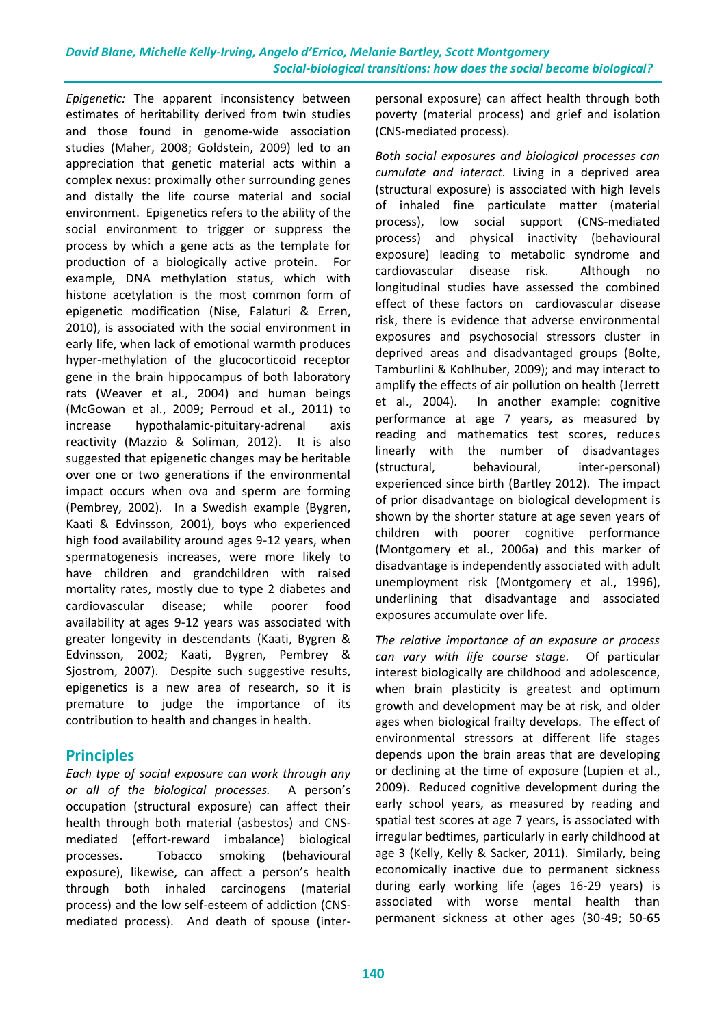*Epigenetic:* The apparent inconsistency between estimates of heritability derived from twin studies and those found in genome-wide association studies (Maher, 2008; Goldstein, 2009) led to an appreciation that genetic material acts within a complex nexus: proximally other surrounding genes and distally the life course material and social environment. Epigenetics refers to the ability of the social environment to trigger or suppress the process by which a gene acts as the template for production of a biologically active protein. For example, DNA methylation status, which with histone acetylation is the most common form of epigenetic modification (Nise, Falaturi & Erren, 2010), is associated with the social environment in early life, when lack of emotional warmth produces hyper-methylation of the glucocorticoid receptor gene in the brain hippocampus of both laboratory rats (Weaver et al., 2004) and human beings (McGowan et al., 2009; Perroud et al., 2011) to increase hypothalamic-pituitary-adrenal axis reactivity (Mazzio & Soliman, 2012). It is also suggested that epigenetic changes may be heritable over one or two generations if the environmental impact occurs when ova and sperm are forming (Pembrey, 2002). In a Swedish example (Bygren, Kaati & Edvinsson, 2001), boys who experienced high food availability around ages 9-12 years, when spermatogenesis increases, were more likely to have children and grandchildren with raised mortality rates, mostly due to type 2 diabetes and cardiovascular disease; while poorer food availability at ages 9-12 years was associated with greater longevity in descendants (Kaati, Bygren & Edvinsson, 2002; Kaati, Bygren, Pembrey & Sjostrom, 2007). Despite such suggestive results, epigenetics is a new area of research, so it is premature to judge the importance of its contribution to health and changes in health.

# **Principles**

*Each type of social exposure can work through any or all of the biological processes.* A person's occupation (structural exposure) can affect their health through both material (asbestos) and CNSmediated (effort-reward imbalance) biological processes. Tobacco smoking (behavioural exposure), likewise, can affect a person's health through both inhaled carcinogens (material process) and the low self-esteem of addiction (CNSmediated process). And death of spouse (interpersonal exposure) can affect health through both poverty (material process) and grief and isolation (CNS-mediated process).

*Both social exposures and biological processes can cumulate and interact.* Living in a deprived area (structural exposure) is associated with high levels of inhaled fine particulate matter (material process), low social support (CNS-mediated process) and physical inactivity (behavioural exposure) leading to metabolic syndrome and cardiovascular disease risk. Although no longitudinal studies have assessed the combined effect of these factors on cardiovascular disease risk, there is evidence that adverse environmental exposures and psychosocial stressors cluster in deprived areas and disadvantaged groups (Bolte, Tamburlini & Kohlhuber, 2009); and may interact to amplify the effects of air pollution on health (Jerrett et al., 2004). In another example: cognitive performance at age 7 years, as measured by reading and mathematics test scores, reduces linearly with the number of disadvantages (structural, behavioural, inter-personal) experienced since birth (Bartley 2012). The impact of prior disadvantage on biological development is shown by the shorter stature at age seven years of children with poorer cognitive performance (Montgomery et al., 2006a) and this marker of disadvantage is independently associated with adult unemployment risk (Montgomery et al., 1996), underlining that disadvantage and associated exposures accumulate over life.

*The relative importance of an exposure or process can vary with life course stage.* Of particular interest biologically are childhood and adolescence, when brain plasticity is greatest and optimum growth and development may be at risk, and older ages when biological frailty develops. The effect of environmental stressors at different life stages depends upon the brain areas that are developing or declining at the time of exposure (Lupien et al., 2009). Reduced cognitive development during the early school years, as measured by reading and spatial test scores at age 7 years, is associated with irregular bedtimes, particularly in early childhood at age 3 (Kelly, Kelly & Sacker, 2011). Similarly, being economically inactive due to permanent sickness during early working life (ages 16-29 years) is associated with worse mental health than permanent sickness at other ages (30-49; 50-65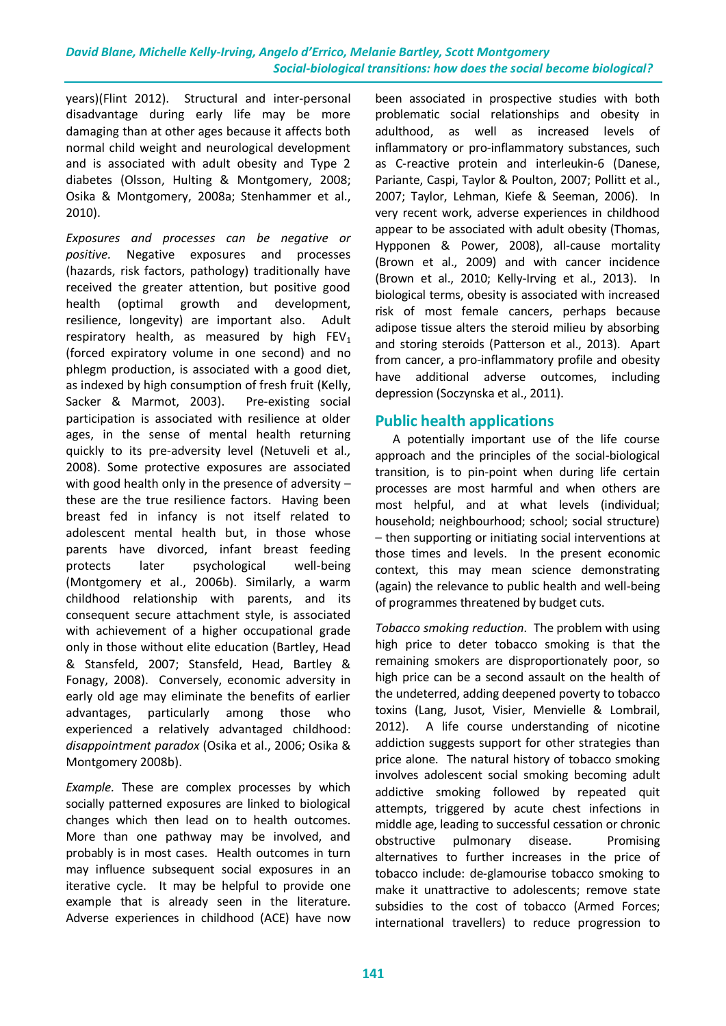years)(Flint 2012). Structural and inter-personal disadvantage during early life may be more damaging than at other ages because it affects both normal child weight and neurological development and is associated with adult obesity and Type 2 diabetes (Olsson, Hulting & Montgomery, 2008; Osika & Montgomery, 2008a; Stenhammer et al., 2010).

*Exposures and processes can be negative or positive.* Negative exposures and processes (hazards, risk factors, pathology) traditionally have received the greater attention, but positive good health (optimal growth and development, resilience, longevity) are important also. Adult respiratory health, as measured by high  $FEV<sub>1</sub>$ (forced expiratory volume in one second) and no phlegm production, is associated with a good diet, as indexed by high consumption of fresh fruit (Kelly, Sacker & Marmot, 2003). Pre-existing social participation is associated with resilience at older ages, in the sense of mental health returning quickly to its pre-adversity level (Netuveli et al*.,* 2008). Some protective exposures are associated with good health only in the presence of adversity – these are the true resilience factors. Having been breast fed in infancy is not itself related to adolescent mental health but, in those whose parents have divorced, infant breast feeding protects later psychological well-being (Montgomery et al., 2006b). Similarly, a warm childhood relationship with parents, and its consequent secure attachment style, is associated with achievement of a higher occupational grade only in those without elite education (Bartley, Head & Stansfeld, 2007; Stansfeld, Head, Bartley & Fonagy, 2008). Conversely, economic adversity in early old age may eliminate the benefits of earlier advantages, particularly among those who experienced a relatively advantaged childhood: *disappointment paradox* (Osika et al., 2006; Osika & Montgomery 2008b).

*Example.* These are complex processes by which socially patterned exposures are linked to biological changes which then lead on to health outcomes. More than one pathway may be involved, and probably is in most cases. Health outcomes in turn may influence subsequent social exposures in an iterative cycle. It may be helpful to provide one example that is already seen in the literature. Adverse experiences in childhood (ACE) have now been associated in prospective studies with both problematic social relationships and obesity in adulthood, as well as increased levels of inflammatory or pro-inflammatory substances, such as C-reactive protein and interleukin-6 (Danese, Pariante, Caspi, Taylor & Poulton, 2007; Pollitt et al., 2007; Taylor, Lehman, Kiefe & Seeman, 2006). In very recent work, adverse experiences in childhood appear to be associated with adult obesity (Thomas, Hypponen & Power, 2008), all-cause mortality (Brown et al., 2009) and with cancer incidence (Brown et al., 2010; Kelly-Irving et al., 2013). In biological terms, obesity is associated with increased risk of most female cancers, perhaps because adipose tissue alters the steroid milieu by absorbing and storing steroids (Patterson et al., 2013). Apart from cancer, a pro-inflammatory profile and obesity have additional adverse outcomes, including depression (Soczynska et al., 2011).

# **Public health applications**

 A potentially important use of the life course approach and the principles of the social-biological transition, is to pin-point when during life certain processes are most harmful and when others are most helpful, and at what levels (individual; household; neighbourhood; school; social structure) – then supporting or initiating social interventions at those times and levels. In the present economic context, this may mean science demonstrating (again) the relevance to public health and well-being of programmes threatened by budget cuts.

*Tobacco smoking reduction.* The problem with using high price to deter tobacco smoking is that the remaining smokers are disproportionately poor, so high price can be a second assault on the health of the undeterred, adding deepened poverty to tobacco toxins (Lang, Jusot, Visier, Menvielle & Lombrail, 2012). A life course understanding of nicotine addiction suggests support for other strategies than price alone. The natural history of tobacco smoking involves adolescent social smoking becoming adult addictive smoking followed by repeated quit attempts, triggered by acute chest infections in middle age, leading to successful cessation or chronic obstructive pulmonary disease. Promising alternatives to further increases in the price of tobacco include: de-glamourise tobacco smoking to make it unattractive to adolescents; remove state subsidies to the cost of tobacco (Armed Forces; international travellers) to reduce progression to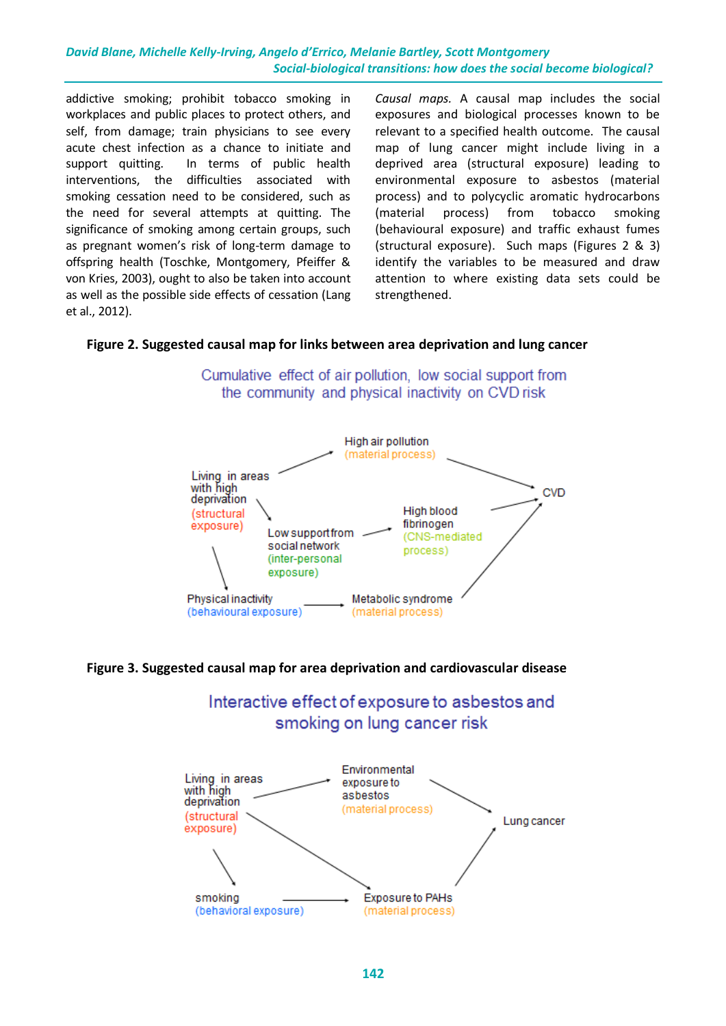addictive smoking; prohibit tobacco smoking in workplaces and public places to protect others, and self, from damage; train physicians to see every acute chest infection as a chance to initiate and support quitting. In terms of public health interventions, the difficulties associated with smoking cessation need to be considered, such as the need for several attempts at quitting. The significance of smoking among certain groups, such as pregnant women's risk of long-term damage to offspring health (Toschke, Montgomery, Pfeiffer & von Kries, 2003), ought to also be taken into account as well as the possible side effects of cessation (Lang et al., 2012).

*Causal maps.* A causal map includes the social exposures and biological processes known to be relevant to a specified health outcome. The causal map of lung cancer might include living in a deprived area (structural exposure) leading to environmental exposure to asbestos (material process) and to polycyclic aromatic hydrocarbons (material process) from tobacco smoking (behavioural exposure) and traffic exhaust fumes (structural exposure). Such maps (Figures 2 & 3) identify the variables to be measured and draw attention to where existing data sets could be strengthened.

#### **Figure 2. Suggested causal map for links between area deprivation and lung cancer**



Cumulative effect of air pollution. low social support from the community and physical inactivity on CVD risk

#### **Figure 3. Suggested causal map for area deprivation and cardiovascular disease**



Interactive effect of exposure to asbestos and smoking on lung cancer risk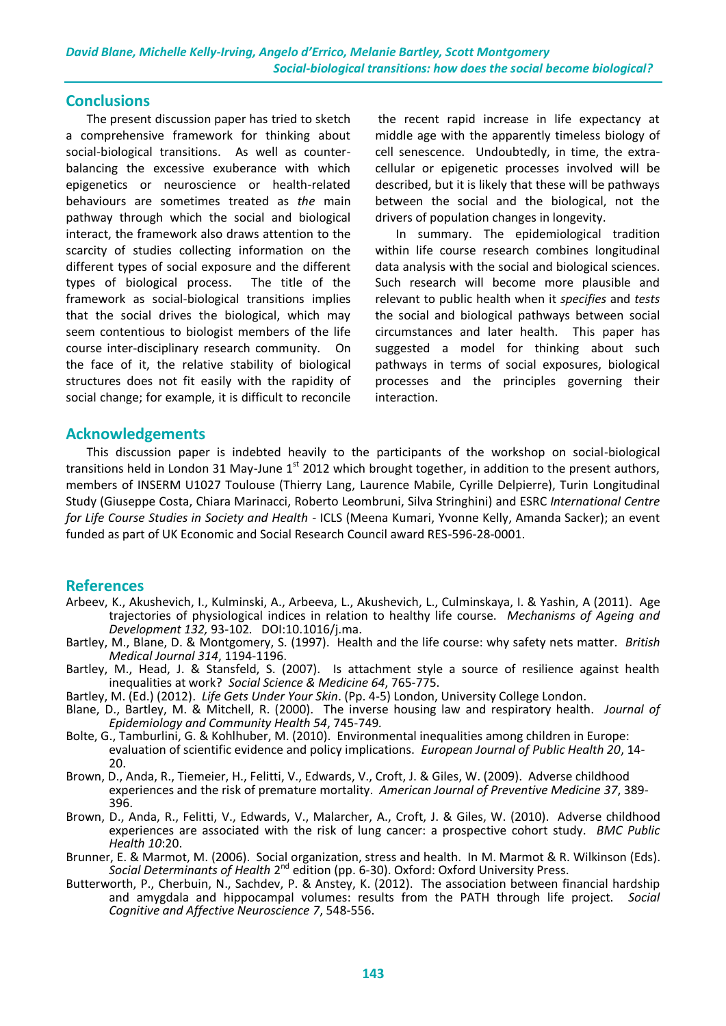### **Conclusions**

The present discussion paper has tried to sketch a comprehensive framework for thinking about social-biological transitions. As well as counterbalancing the excessive exuberance with which epigenetics or neuroscience or health-related behaviours are sometimes treated as *the* main pathway through which the social and biological interact, the framework also draws attention to the scarcity of studies collecting information on the different types of social exposure and the different types of biological process. The title of the framework as social-biological transitions implies that the social drives the biological, which may seem contentious to biologist members of the life course inter-disciplinary research community. On the face of it, the relative stability of biological structures does not fit easily with the rapidity of social change; for example, it is difficult to reconcile

the recent rapid increase in life expectancy at middle age with the apparently timeless biology of cell senescence. Undoubtedly, in time, the extracellular or epigenetic processes involved will be described, but it is likely that these will be pathways between the social and the biological, not the drivers of population changes in longevity.

In summary. The epidemiological tradition within life course research combines longitudinal data analysis with the social and biological sciences. Such research will become more plausible and relevant to public health when it *specifies* and *tests* the social and biological pathways between social circumstances and later health. This paper has suggested a model for thinking about such pathways in terms of social exposures, biological processes and the principles governing their interaction.

#### **Acknowledgements**

This discussion paper is indebted heavily to the participants of the workshop on social-biological transitions held in London 31 May-June  $1<sup>st</sup>$  2012 which brought together, in addition to the present authors, members of INSERM U1027 Toulouse (Thierry Lang, Laurence Mabile, Cyrille Delpierre), Turin Longitudinal Study (Giuseppe Costa, Chiara Marinacci, Roberto Leombruni, Silva Stringhini) and ESRC *International Centre for Life Course Studies in Society and Health* - ICLS (Meena Kumari, Yvonne Kelly, Amanda Sacker); an event funded as part of UK Economic and Social Research Council award RES-596-28-0001.

#### **References**

- Arbeev, K., Akushevich, I., Kulminski, A., Arbeeva, L., Akushevich, L., Culminskaya, I. & Yashin, A (2011). Age trajectories of physiological indices in relation to healthy life course. *Mechanisms of Ageing and Development 132,* 93-102*.* DOI:10.1016/j.ma.
- Bartley, M., Blane, D. & Montgomery, S. (1997). Health and the life course: why safety nets matter*. British Medical Journal 314*, 1194-1196.
- Bartley, M., Head, J. & Stansfeld, S. (2007). Is attachment style a source of resilience against health inequalities at work? *Social Science & Medicine 64*, 765-775.
- Bartley, M. (Ed.) (2012). *Life Gets Under Your Skin*. (Pp. 4-5) London, University College London.
- Blane, D., Bartley, M. & Mitchell, R. (2000). The inverse housing law and respiratory health. *Journal of Epidemiology and Community Health 54*, 745-749*.*
- Bolte, G., Tamburlini, G. & Kohlhuber, M. (2010). Environmental inequalities among children in Europe: evaluation of scientific evidence and policy implications. *European Journal of Public Health 20*, 14- 20.
- Brown, D., Anda, R., Tiemeier, H., Felitti, V., Edwards, V., Croft, J. & Giles, W. (2009). Adverse childhood experiences and the risk of premature mortality. *American Journal of Preventive Medicine 37*, 389- 396.
- Brown, D., Anda, R., Felitti, V., Edwards, V., Malarcher, A., Croft, J. & Giles, W. (2010). Adverse childhood experiences are associated with the risk of lung cancer: a prospective cohort study. *BMC Public Health 10*:20.
- Brunner, E. & Marmot, M. (2006). Social organization, stress and health. In M. Marmot & R. Wilkinson (Eds). Social Determinants of Health 2<sup>nd</sup> edition (pp. 6-30). Oxford: Oxford University Press.
- Butterworth, P., Cherbuin, N., Sachdev, P. & Anstey, K. (2012). The association between financial hardship and amygdala and hippocampal volumes: results from the PATH through life project. *Social Cognitive and Affective Neuroscience 7*, 548-556.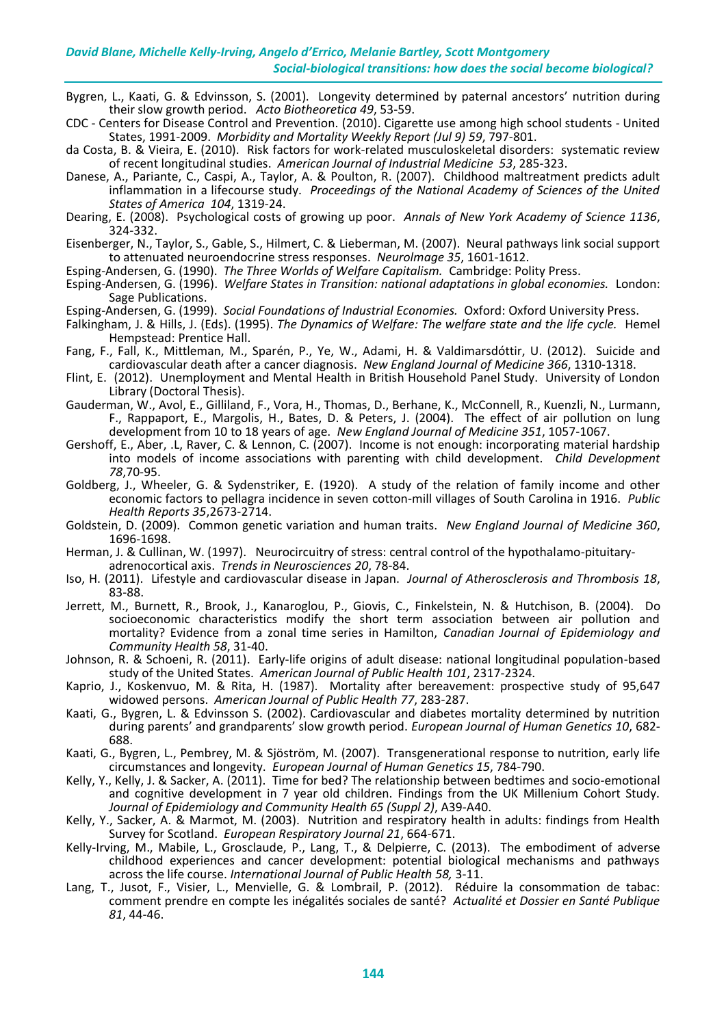- Bygren, L., Kaati, G. & Edvinsson, S. (2001). Longevity determined by paternal ancestors' nutrition during their slow growth period. *Acto Biotheoretica 49*, 53-59.
- CDC Centers for Disease Control and Prevention. (2010). Cigarette use among high school students United States, 1991-2009. *Morbidity and Mortality Weekly Report (Jul 9) 59*, 797-801.
- da Costa, B. & Vieira, E. (2010). Risk factors for work-related musculoskeletal disorders: systematic review of recent longitudinal studies. *American Journal of Industrial Medicine 53*, 285-323.
- Danese, A., Pariante, C., Caspi, A., Taylor, A. & Poulton, R. (2007). Childhood maltreatment predicts adult inflammation in a lifecourse study. *Proceedings of the National Academy of Sciences of the United States of America 104*, 1319-24.
- Dearing, E. (2008). Psychological costs of growing up poor. *Annals of New York Academy of Science 1136*, 324-332.

Eisenberger, N., Taylor, S., Gable, S., Hilmert, C. & Lieberman, M. (2007). Neural pathways link social support to attenuated neuroendocrine stress responses. *Neurolmage 35*, 1601-1612.

Esping-Andersen, G. (1990). *The Three Worlds of Welfare Capitalism.* Cambridge: Polity Press.

Esping-Andersen, G. (1996). *Welfare States in Transition: national adaptations in global economies.* London: Sage Publications.

- Esping-Andersen, G. (1999). *Social Foundations of Industrial Economies.* Oxford: Oxford University Press.
- Falkingham, J. & Hills, J. (Eds). (1995). *The Dynamics of Welfare: The welfare state and the life cycle.* Hemel Hempstead: Prentice Hall.
- Fang, F., Fall, K., Mittleman, M., Sparén, P., Ye, W., Adami, H. & Valdimarsdóttir, U. (2012). Suicide and cardiovascular death after a cancer diagnosis. *New England Journal of Medicine 366*, 1310-1318.
- Flint, E. (2012). Unemployment and Mental Health in British Household Panel Study. University of London Library (Doctoral Thesis).
- Gauderman, W., Avol, E., Gilliland, F., Vora, H., Thomas, D., Berhane, K., McConnell, R., Kuenzli, N., Lurmann, F., Rappaport, E., Margolis, H., Bates, D. & Peters, J. (2004). The effect of air pollution on lung development from 10 to 18 years of age. *New England Journal of Medicine 351*, 1057-1067.
- Gershoff, E., Aber, .L, Raver, C. & Lennon, C. (2007). Income is not enough: incorporating material hardship into models of income associations with parenting with child development. *Child Development 78*,70-95.
- Goldberg, J., Wheeler, G. & Sydenstriker, E. (1920). A study of the relation of family income and other economic factors to pellagra incidence in seven cotton-mill villages of South Carolina in 1916. *Public Health Reports 35*,2673-2714.
- Goldstein, D. (2009). Common genetic variation and human traits. *New England Journal of Medicine 360*, 1696-1698.
- Herman, J. & Cullinan, W. (1997). Neurocircuitry of stress: central control of the hypothalamo-pituitaryadrenocortical axis. *Trends in Neurosciences 20*, 78-84.
- Iso, H. (2011). Lifestyle and cardiovascular disease in Japan. *Journal of Atherosclerosis and Thrombosis 18*, 83-88.
- Jerrett, M., Burnett, R., Brook, J., Kanaroglou, P., Giovis, C., Finkelstein, N. & Hutchison, B. (2004). Do socioeconomic characteristics modify the short term association between air pollution and mortality? Evidence from a zonal time series in Hamilton, *Canadian Journal of Epidemiology and Community Health 58*, 31-40.
- Johnson, R. & Schoeni, R. (2011). Early-life origins of adult disease: national longitudinal population-based study of the United States. *American Journal of Public Health 101*, 2317-2324.
- Kaprio, J., Koskenvuo, M. & Rita, H. (1987). Mortality after bereavement: prospective study of 95,647 widowed persons. *American Journal of Public Health 77*, 283-287.
- Kaati, G., Bygren, L. & Edvinsson S. (2002). Cardiovascular and diabetes mortality determined by nutrition during parents' and grandparents' slow growth period. *European Journal of Human Genetics 10*, 682- 688.
- Kaati, G., Bygren, L., Pembrey, M. & Sjöström, M. (2007). Transgenerational response to nutrition, early life circumstances and longevity. *European Journal of Human Genetics 15*, 784-790.
- Kelly, Y., Kelly, J. & Sacker, A. (2011). Time for bed? The relationship between bedtimes and socio-emotional and cognitive development in 7 year old children. Findings from the UK Millenium Cohort Study. *Journal of Epidemiology and Community Health 65 (Suppl 2)*, A39-A40.
- Kelly, Y., Sacker, A. & Marmot, M. (2003). Nutrition and respiratory health in adults: findings from Health Survey for Scotland. *European Respiratory Journal 21*, 664-671.
- Kelly-Irving, M., Mabile, L., Grosclaude, P., Lang, T., & Delpierre, C. (2013). The embodiment of adverse childhood experiences and cancer development: potential biological mechanisms and pathways across the life course. *International Journal of Public Health 58,* 3-11.
- Lang, T., Jusot, F., Visier, L., Menvielle, G. & Lombrail, P. (2012). Réduire la consommation de tabac: comment prendre en compte les inégalités sociales de santé? *Actualité et Dossier en Santé Publique 81*, 44-46.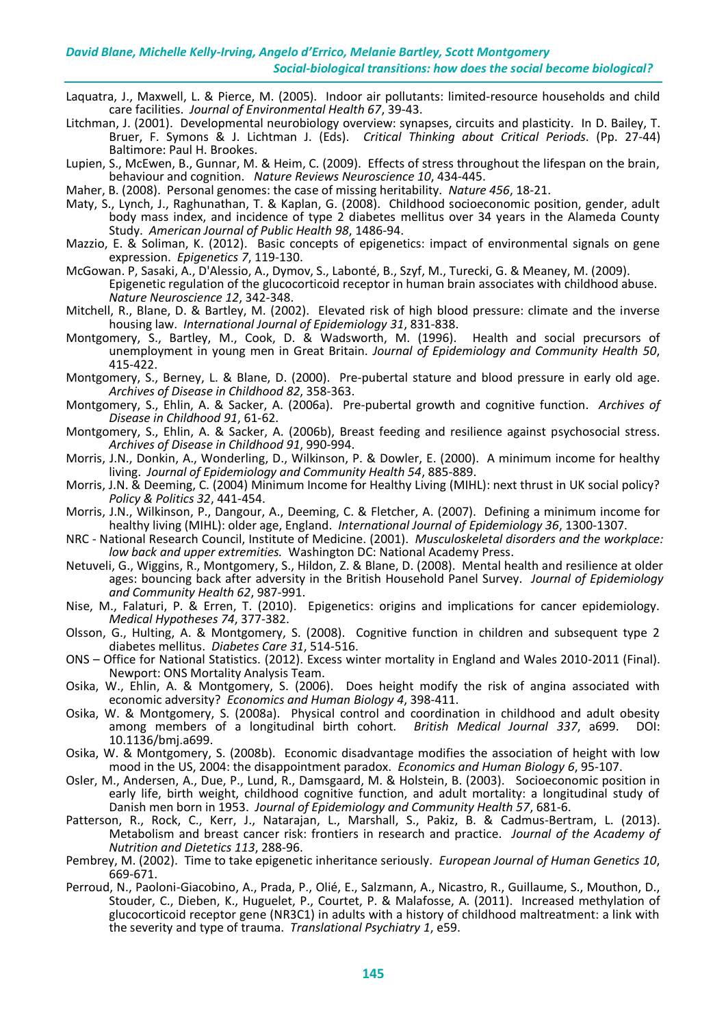- Laquatra, J., Maxwell, L. & Pierce, M. (2005). Indoor air pollutants: limited-resource households and child care facilities. *Journal of Environmental Health 67*, 39-43.
- Litchman, J. (2001). Developmental neurobiology overview: synapses, circuits and plasticity. In D. Bailey, T. Bruer, F. Symons & J. Lichtman J. (Eds). *Critical Thinking about Critical Periods*. (Pp. 27-44) Baltimore: Paul H. Brookes.
- Lupien, S., McEwen, B., Gunnar, M. & Heim, C. (2009). Effects of stress throughout the lifespan on the brain, behaviour and cognition. *Nature Reviews Neuroscience 10*, 434-445.
- Maher, B. (2008). Personal genomes: the case of missing heritability. *Nature 456*, 18-21.
- Maty, S., Lynch, J., Raghunathan, T. & Kaplan, G. (2008). Childhood socioeconomic position, gender, adult body mass index, and incidence of type 2 diabetes mellitus over 34 years in the Alameda County Study. *American Journal of Public Health 98*, 1486-94.
- Mazzio, E. & Soliman, K. (2012). Basic concepts of epigenetics: impact of environmental signals on gene expression. *Epigenetics 7*, 119-130.
- McGowan. P, Sasaki, A., D'Alessio, A., Dymov, S., Labonté, B., Szyf, M., Turecki, G. & Meaney, M. (2009). Epigenetic regulation of the glucocorticoid receptor in human brain associates with childhood abuse. *Nature Neuroscience 12*, 342-348.
- Mitchell, R., Blane, D. & Bartley, M. (2002). Elevated risk of high blood pressure: climate and the inverse housing law. *International Journal of Epidemiology 31*, 831-838.
- Montgomery, S., Bartley, M., Cook, D. & Wadsworth, M. (1996). Health and social precursors of unemployment in young men in Great Britain. *Journal of Epidemiology and Community Health 50*, 415-422.
- Montgomery, S., Berney, L. & Blane, D. (2000). Pre-pubertal stature and blood pressure in early old age. *Archives of Disease in Childhood 82*, 358-363.
- Montgomery, S., Ehlin, A. & Sacker, A. (2006a). Pre-pubertal growth and cognitive function. *Archives of Disease in Childhood 91*, 61-62.
- Montgomery, S., Ehlin, A. & Sacker, A. (2006b), Breast feeding and resilience against psychosocial stress. *Archives of Disease in Childhood 91*, 990-994.
- Morris, J.N., Donkin, A., Wonderling, D., Wilkinson, P. & Dowler, E. (2000). A minimum income for healthy living. *Journal of Epidemiology and Community Health 54*, 885-889.
- Morris, J.N. & Deeming, C. (2004) Minimum Income for Healthy Living (MIHL): next thrust in UK social policy? *Policy & Politics 32*, 441-454.
- Morris, J.N., Wilkinson, P., Dangour, A., Deeming, C. & Fletcher, A. (2007). Defining a minimum income for healthy living (MIHL): older age, England. *International Journal of Epidemiology 36*, 1300-1307.
- NRC National Research Council, Institute of Medicine. (2001). *Musculoskeletal disorders and the workplace: low back and upper extremities.* Washington DC: National Academy Press.
- Netuveli, G., Wiggins, R., Montgomery, S., Hildon, Z. & Blane, D. (2008). Mental health and resilience at older ages: bouncing back after adversity in the British Household Panel Survey. *Journal of Epidemiology and Community Health 62*, 987-991.
- Nise, M., Falaturi, P. & Erren, T. (2010). Epigenetics: origins and implications for cancer epidemiology. *Medical Hypotheses 74*, 377-382.
- Olsson, G., Hulting, A. & Montgomery, S. (2008). Cognitive function in children and subsequent type 2 diabetes mellitus. *Diabetes Care 31*, 514-516.
- ONS Office for National Statistics. (2012). Excess winter mortality in England and Wales 2010-2011 (Final). Newport: ONS Mortality Analysis Team.
- Osika, W., Ehlin, A. & Montgomery, S. (2006). Does height modify the risk of angina associated with economic adversity? *Economics and Human Biology 4*, 398-411.
- Osika, W. & Montgomery, S. (2008a). Physical control and coordination in childhood and adult obesity<br>among members of a longitudinal birth cohort. British Medical Journal 337, a699. DOI: among members of a longitudinal birth cohort. British Medical Journal 337, a699. 10.1136/bmj.a699.
- Osika, W. & Montgomery, S. (2008b). Economic disadvantage modifies the association of height with low mood in the US, 2004: the disappointment paradox. *Economics and Human Biology 6*, 95-107.
- Osler, M., Andersen, A., Due, P., Lund, R., Damsgaard, M. & Holstein, B. (2003). Socioeconomic position in early life, birth weight, childhood cognitive function, and adult mortality: a longitudinal study of Danish men born in 1953. *Journal of Epidemiology and Community Health 57*, 681-6.
- Patterson, R., Rock, C., Kerr, J., Natarajan, L., Marshall, S., Pakiz, B. & Cadmus-Bertram, L. (2013). Metabolism and breast cancer risk: frontiers in research and practice. *Journal of the Academy of Nutrition and Dietetics 113*, 288-96.
- Pembrey, M. (2002). Time to take epigenetic inheritance seriously. *European Journal of Human Genetics 10*, 669-671.
- Perroud, N., Paoloni-Giacobino, A., Prada, P., Olié, E., Salzmann, A., Nicastro, R., Guillaume, S., Mouthon, D., Stouder, C., Dieben, K., Huguelet, P., Courtet, P. & Malafosse, A. (2011). Increased methylation of glucocorticoid receptor gene (NR3C1) in adults with a history of childhood maltreatment: a link with the severity and type of trauma. *Translational Psychiatry 1*, e59.